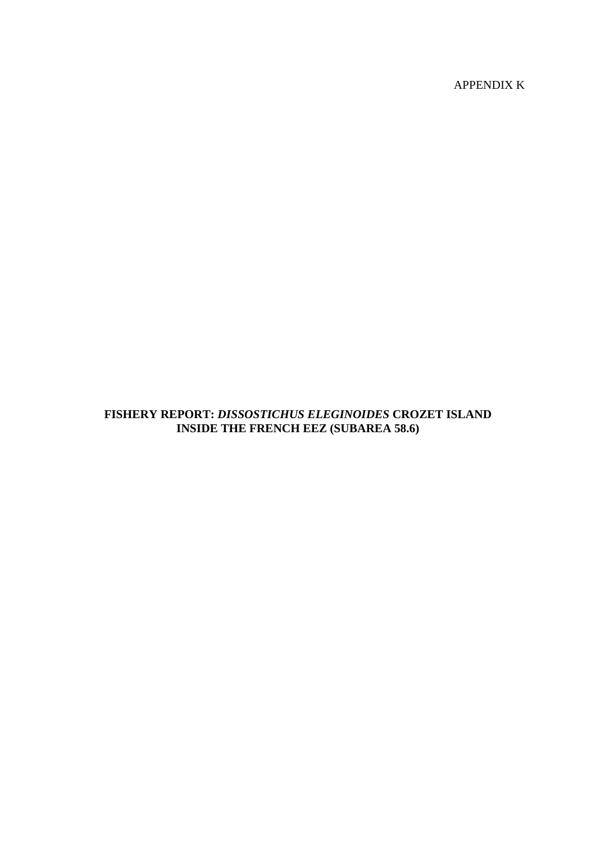APPENDIX K

# **FISHERY REPORT:** *DISSOSTICHUS ELEGINOIDES* **CROZET ISLAND INSIDE THE FRENCH EEZ (SUBAREA 58.6)**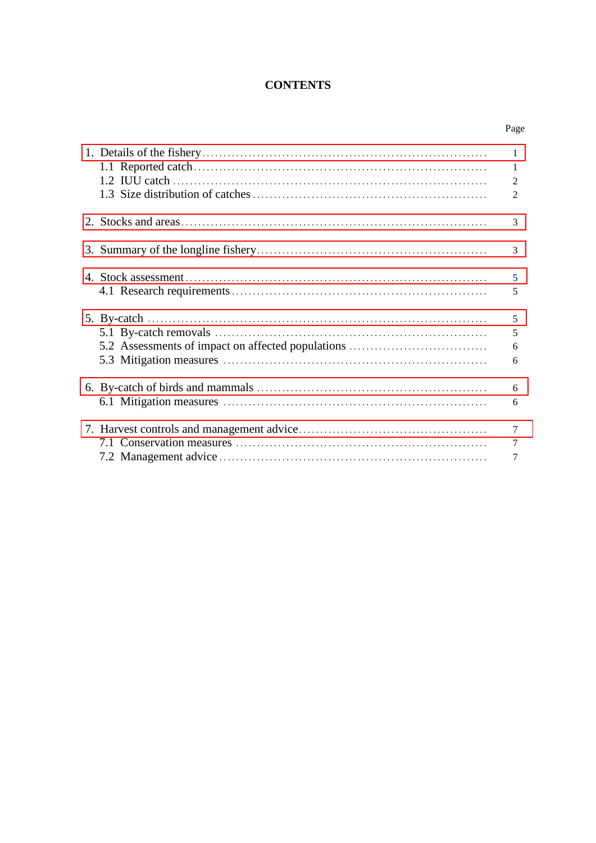# **CONTENTS**

Page

|                                                                                                                                                                              | $\mathbf{1}$<br>1<br>2<br>2           |
|------------------------------------------------------------------------------------------------------------------------------------------------------------------------------|---------------------------------------|
|                                                                                                                                                                              | 3                                     |
|                                                                                                                                                                              | 3                                     |
|                                                                                                                                                                              | 5<br>5                                |
| 5. By-catch $\ldots$ $\ldots$ $\ldots$ $\ldots$ $\ldots$ $\ldots$ $\ldots$ $\ldots$ $\ldots$ $\ldots$ $\ldots$ $\ldots$<br>5.2 Assessments of impact on affected populations | 5<br>5<br>6<br>6                      |
|                                                                                                                                                                              | 6<br>6                                |
|                                                                                                                                                                              | $\overline{7}$<br>$\overline{7}$<br>7 |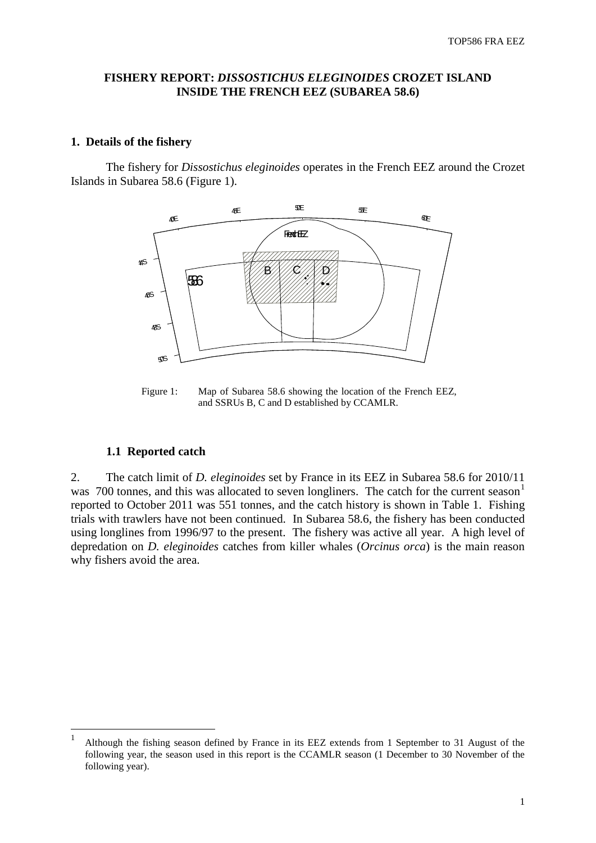## <span id="page-2-0"></span>**FISHERY REPORT:** *DISSOSTICHUS ELEGINOIDES* **CROZET ISLAND INSIDE THE FRENCH EEZ (SUBAREA 58.6)**

### **1. Details of the fishery**

The fishery for *Dissostichus eleginoides* operates in the French EEZ around the Crozet Islands in Subarea 58.6 (Figure 1).



Figure 1: Map of Subarea 58.6 showing the location of the French EEZ, and SSRUs B, C and D established by CCAMLR.

#### **1.1 Reported catch**

2. The catch limit of *D. eleginoides* set by France in its EEZ in Subarea 58.6 for 2010/11 was 700 tonnes, and this was allocated to seven longliners. The catch for the current season<sup>[1](#page-2-1)</sup> reported to October 2011 was 551 tonnes, and the catch history is shown in Table 1. Fishing trials with trawlers have not been continued. In Subarea 58.6, the fishery has been conducted using longlines from 1996/97 to the present. The fishery was active all year. A high level of depredation on *D. eleginoides* catches from killer whales (*Orcinus orca*) is the main reason why fishers avoid the area.

<span id="page-2-1"></span> <sup>1</sup> Although the fishing season defined by France in its EEZ extends from 1 September to 31 August of the following year, the season used in this report is the CCAMLR season (1 December to 30 November of the following year).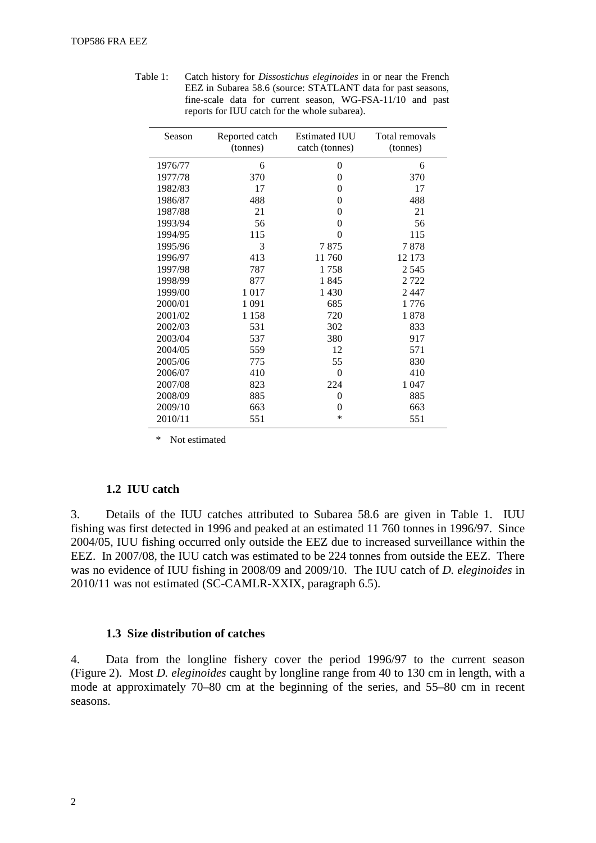| Season  | Reported catch<br>(tonnes) | Estimated IUU<br>catch (tonnes) | Total removals<br>(tonnes) |
|---------|----------------------------|---------------------------------|----------------------------|
| 1976/77 | 6                          | 0                               | 6                          |
| 1977/78 | 370                        | $\theta$                        | 370                        |
| 1982/83 | 17                         | 0                               | 17                         |
| 1986/87 | 488                        | 0                               | 488                        |
| 1987/88 | 21                         | 0                               | 21                         |
| 1993/94 | 56                         | 0                               | 56                         |
| 1994/95 | 115                        | 0                               | 115                        |
| 1995/96 | 3                          | 7875                            | 7878                       |
| 1996/97 | 413                        | 11 760                          | 12 173                     |
| 1997/98 | 787                        | 1758                            | 2 5 4 5                    |
| 1998/99 | 877                        | 1845                            | 2722                       |
| 1999/00 | 1017                       | 1 4 3 0                         | 2447                       |
| 2000/01 | 1 0 9 1                    | 685                             | 1776                       |
| 2001/02 | 1 1 5 8                    | 720                             | 1878                       |
| 2002/03 | 531                        | 302                             | 833                        |
| 2003/04 | 537                        | 380                             | 917                        |
| 2004/05 | 559                        | 12                              | 571                        |
| 2005/06 | 775                        | 55                              | 830                        |
| 2006/07 | 410                        | $\theta$                        | 410                        |
| 2007/08 | 823                        | 224                             | 1 0 4 7                    |
| 2008/09 | 885                        | $\overline{0}$                  | 885                        |
| 2009/10 | 663                        | 0                               | 663                        |
| 2010/11 | 551                        | *                               | 551                        |

Table 1: Catch history for *Dissostichus eleginoides* in or near the French EEZ in Subarea 58.6 (source: STATLANT data for past seasons, fine-scale data for current season, WG-FSA-11/10 and past reports for IUU catch for the whole subarea).

\* Not estimated

#### **1.2 IUU catch**

3. Details of the IUU catches attributed to Subarea 58.6 are given in Table 1. IUU fishing was first detected in 1996 and peaked at an estimated 11 760 tonnes in 1996/97. Since 2004/05, IUU fishing occurred only outside the EEZ due to increased surveillance within the EEZ. In 2007/08, the IUU catch was estimated to be 224 tonnes from outside the EEZ. There was no evidence of IUU fishing in 2008/09 and 2009/10. The IUU catch of *D. eleginoides* in 2010/11 was not estimated (SC-CAMLR-XXIX, paragraph 6.5).

#### **1.3 Size distribution of catches**

4. Data from the longline fishery cover the period 1996/97 to the current season (Figure 2). Most *D. eleginoides* caught by longline range from 40 to 130 cm in length, with a mode at approximately 70–80 cm at the beginning of the series, and 55–80 cm in recent seasons.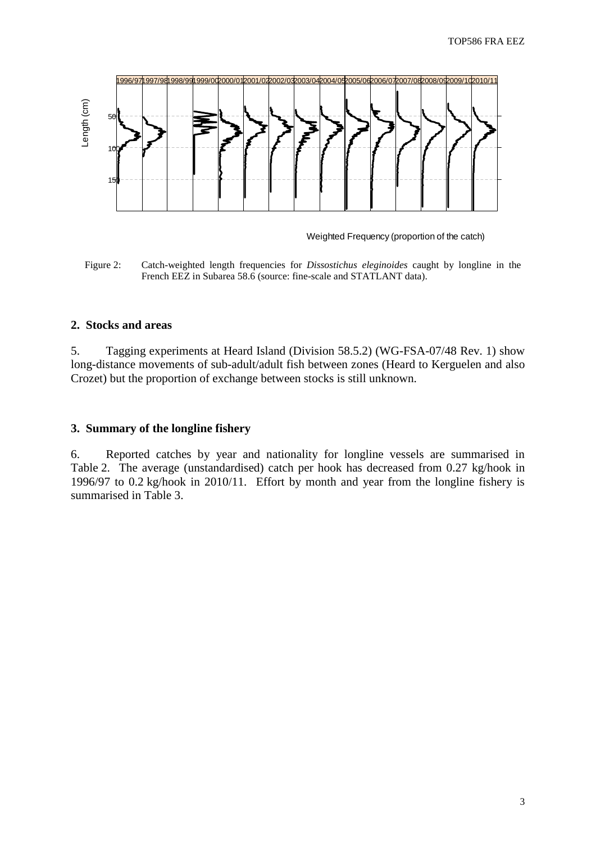<span id="page-4-0"></span>

Weighted Frequency (proportion of the catch)

Figure 2: Catch-weighted length frequencies for *Dissostichus eleginoides* caught by longline in the French EEZ in Subarea 58.6 (source: fine-scale and STATLANT data).

#### **2. Stocks and areas**

5. Tagging experiments at Heard Island (Division 58.5.2) (WG-FSA-07/48 Rev. 1) show long-distance movements of sub-adult/adult fish between zones (Heard to Kerguelen and also Crozet) but the proportion of exchange between stocks is still unknown.

## **3. Summary of the longline fishery**

6. Reported catches by year and nationality for longline vessels are summarised in Table 2. The average (unstandardised) catch per hook has decreased from 0.27 kg/hook in 1996/97 to 0.2 kg/hook in 2010/11. Effort by month and year from the longline fishery is summarised in Table 3.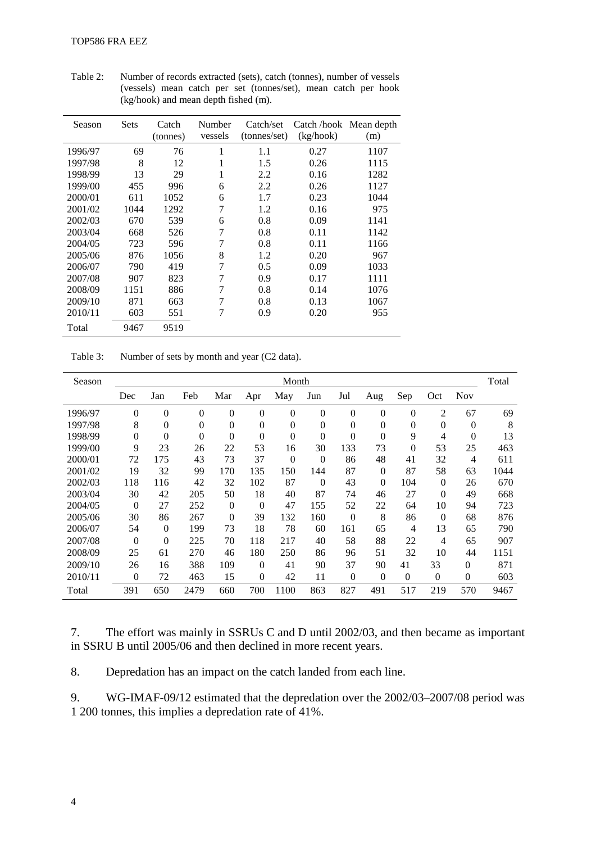| Season  | Sets | Catch<br>(tonnes) | Number<br>vessels | Catch/set<br>(tonnes/set) | Catch/hook Mean depth<br>(kg/hook) | (m)  |
|---------|------|-------------------|-------------------|---------------------------|------------------------------------|------|
| 1996/97 | 69   | 76                | 1                 | 1.1                       | 0.27                               | 1107 |
| 1997/98 | 8    | 12                | 1                 | 1.5                       | 0.26                               | 1115 |
| 1998/99 | 13   | 29                | 1                 | 2.2                       | 0.16                               | 1282 |
| 1999/00 | 455  | 996               | 6                 | 2.2                       | 0.26                               | 1127 |
| 2000/01 | 611  | 1052              | 6                 | 1.7                       | 0.23                               | 1044 |
| 2001/02 | 1044 | 1292              | 7                 | 1.2                       | 0.16                               | 975  |
| 2002/03 | 670  | 539               | 6                 | 0.8                       | 0.09                               | 1141 |
| 2003/04 | 668  | 526               | 7                 | 0.8                       | 0.11                               | 1142 |
| 2004/05 | 723  | 596               | 7                 | 0.8                       | 0.11                               | 1166 |
| 2005/06 | 876  | 1056              | 8                 | 1.2                       | 0.20                               | 967  |
| 2006/07 | 790  | 419               | 7                 | 0.5                       | 0.09                               | 1033 |
| 2007/08 | 907  | 823               | 7                 | 0.9                       | 0.17                               | 1111 |
| 2008/09 | 1151 | 886               | 7                 | 0.8                       | 0.14                               | 1076 |
| 2009/10 | 871  | 663               | $\overline{7}$    | 0.8                       | 0.13                               | 1067 |
| 2010/11 | 603  | 551               | 7                 | 0.9                       | 0.20                               | 955  |
| Total   | 9467 | 9519              |                   |                           |                                    |      |

Table 2: Number of records extracted (sets), catch (tonnes), number of vessels (vessels) mean catch per set (tonnes/set), mean catch per hook (kg/hook) and mean depth fished (m).

| Table 3: | Number of sets by month and year (C2 data). |  |  |
|----------|---------------------------------------------|--|--|
|          |                                             |  |  |

| Season  | Month            |                |                |          |              |                |                |                | Total    |          |              |                |      |
|---------|------------------|----------------|----------------|----------|--------------|----------------|----------------|----------------|----------|----------|--------------|----------------|------|
|         | Dec              | Jan            | Feb            | Mar      | Apr          | May            | Jun            | Jul            | Aug      | Sep      | Oct          | <b>Nov</b>     |      |
| 1996/97 | $\boldsymbol{0}$ | $\theta$       | $\mathbf{0}$   | $\theta$ | $\mathbf{0}$ | $\overline{0}$ | $\mathbf{0}$   | $\theta$       | $\theta$ | $\theta$ | 2            | 67             | 69   |
| 1997/98 | 8                | $\theta$       | $\mathbf{0}$   | $\theta$ | $\mathbf{0}$ | $\theta$       | $\mathbf{0}$   | $\theta$       | 0        | $\theta$ | $\mathbf{0}$ | $\theta$       | 8    |
| 1998/99 | $\overline{0}$   | $\overline{0}$ | $\overline{0}$ | $\theta$ | $\Omega$     | $\Omega$       | $\overline{0}$ | $\overline{0}$ | 0        | 9        | 4            | $\overline{0}$ | 13   |
| 1999/00 | 9                | 23             | 26             | 22       | 53           | 16             | 30             | 133            | 73       | $\theta$ | 53           | 25             | 463  |
| 2000/01 | 72               | 175            | 43             | 73       | 37           | $\Omega$       | $\Omega$       | 86             | 48       | 41       | 32           | 4              | 611  |
| 2001/02 | 19               | 32             | 99             | 170      | 135          | 150            | 144            | 87             | $\Omega$ | 87       | 58           | 63             | 1044 |
| 2002/03 | 118              | 116            | 42             | 32       | 102          | 87             | $\Omega$       | 43             | $\Omega$ | 104      | $\Omega$     | 26             | 670  |
| 2003/04 | 30               | 42             | 205            | 50       | 18           | 40             | 87             | 74             | 46       | 27       | $\theta$     | 49             | 668  |
| 2004/05 | $\theta$         | 27             | 252            | $\Omega$ | $\Omega$     | 47             | 155            | 52             | 22       | 64       | 10           | 94             | 723  |
| 2005/06 | 30               | 86             | 267            | $\theta$ | 39           | 132            | 160            | $\Omega$       | 8        | 86       | $\theta$     | 68             | 876  |
| 2006/07 | 54               | $\theta$       | 199            | 73       | 18           | 78             | 60             | 161            | 65       | 4        | 13           | 65             | 790  |
| 2007/08 | $\overline{0}$   | $\theta$       | 225            | 70       | 118          | 217            | 40             | 58             | 88       | 22       | 4            | 65             | 907  |
| 2008/09 | 25               | 61             | 270            | 46       | 180          | 250            | 86             | 96             | 51       | 32       | 10           | 44             | 1151 |
| 2009/10 | 26               | 16             | 388            | 109      | $\Omega$     | 41             | 90             | 37             | 90       | 41       | 33           | 0              | 871  |
| 2010/11 | $\overline{0}$   | 72             | 463            | 15       | $\mathbf{0}$ | 42             | 11             | $\theta$       | $\theta$ | $\theta$ | $\mathbf{0}$ | 0              | 603  |
| Total   | 391              | 650            | 2479           | 660      | 700          | 1100           | 863            | 827            | 491      | 517      | 219          | 570            | 9467 |

7. The effort was mainly in SSRUs C and D until 2002/03, and then became as important in SSRU B until 2005/06 and then declined in more recent years.

8. Depredation has an impact on the catch landed from each line.

9. WG-IMAF-09/12 estimated that the depredation over the 2002/03–2007/08 period was 1 200 tonnes, this implies a depredation rate of 41%.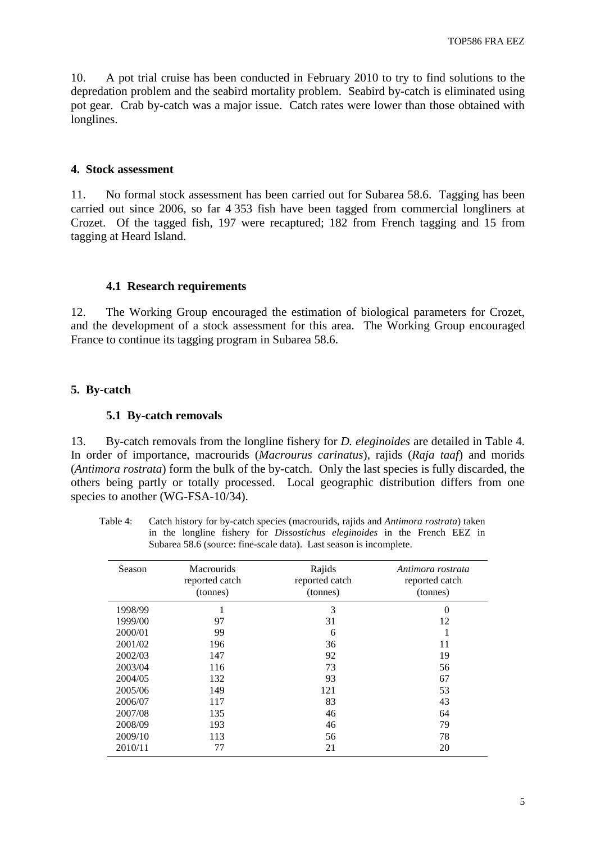<span id="page-6-0"></span>10. A pot trial cruise has been conducted in February 2010 to try to find solutions to the depredation problem and the seabird mortality problem. Seabird by-catch is eliminated using pot gear. Crab by-catch was a major issue. Catch rates were lower than those obtained with longlines.

## **4. Stock assessment**

11. No formal stock assessment has been carried out for Subarea 58.6. Tagging has been carried out since 2006, so far 4 353 fish have been tagged from commercial longliners at Crozet. Of the tagged fish, 197 were recaptured; 182 from French tagging and 15 from tagging at Heard Island.

## **4.1 Research requirements**

12. The Working Group encouraged the estimation of biological parameters for Crozet, and the development of a stock assessment for this area. The Working Group encouraged France to continue its tagging program in Subarea 58.6.

## **5. By-catch**

### **5.1 By-catch removals**

13. By-catch removals from the longline fishery for *D. eleginoides* are detailed in Table 4. In order of importance, macrourids (*Macrourus carinatus*), rajids (*Raja taaf*) and morids (*Antimora rostrata*) form the bulk of the by-catch. Only the last species is fully discarded, the others being partly or totally processed. Local geographic distribution differs from one species to another (WG-FSA-10/34).

Table 4: Catch history for by-catch species (macrourids, rajids and *Antimora rostrata*) taken in the longline fishery for *Dissostichus eleginoides* in the French EEZ in Subarea 58.6 (source: fine-scale data). Last season is incomplete.

| Season  | <b>Macrourids</b><br>reported catch<br>(tonnes) | Rajids<br>reported catch<br>(tonnes) | Antimora rostrata<br>reported catch<br>(tonnes) |
|---------|-------------------------------------------------|--------------------------------------|-------------------------------------------------|
| 1998/99 | ı                                               | 3                                    | $\theta$                                        |
| 1999/00 | 97                                              | 31                                   | 12                                              |
| 2000/01 | 99                                              | 6                                    | 1                                               |
| 2001/02 | 196                                             | 36                                   | 11                                              |
| 2002/03 | 147                                             | 92                                   | 19                                              |
| 2003/04 | 116                                             | 73                                   | 56                                              |
| 2004/05 | 132                                             | 93                                   | 67                                              |
| 2005/06 | 149                                             | 121                                  | 53                                              |
| 2006/07 | 117                                             | 83                                   | 43                                              |
| 2007/08 | 135                                             | 46                                   | 64                                              |
| 2008/09 | 193                                             | 46                                   | 79                                              |
| 2009/10 | 113                                             | 56                                   | 78                                              |
| 2010/11 | 77                                              | 21                                   | 20                                              |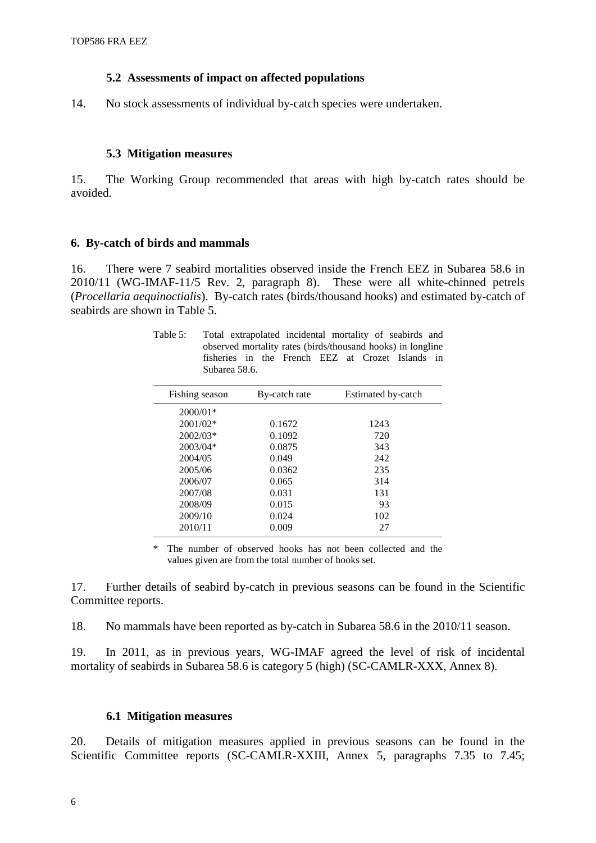### **5.2 Assessments of impact on affected populations**

<span id="page-7-0"></span>14. No stock assessments of individual by-catch species were undertaken.

#### **5.3 Mitigation measures**

15. The Working Group recommended that areas with high by-catch rates should be avoided.

### **6. By-catch of birds and mammals**

16. There were 7 seabird mortalities observed inside the French EEZ in Subarea 58.6 in 2010/11 (WG-IMAF-11/5 Rev. 2, paragraph 8). These were all white-chinned petrels (*Procellaria aequinoctialis*). By-catch rates (birds/thousand hooks) and estimated by-catch of seabirds are shown in Table 5.

| Table 5: | Total extrapolated incidental mortality of seabirds and     |  |  |  |  |
|----------|-------------------------------------------------------------|--|--|--|--|
|          | observed mortality rates (birds/thousand hooks) in longline |  |  |  |  |
|          | fisheries in the French EEZ at Crozet Islands in            |  |  |  |  |
|          | Subarea 58.6.                                               |  |  |  |  |
|          |                                                             |  |  |  |  |

| By-catch rate | Estimated by-catch |
|---------------|--------------------|
|               |                    |
| 0.1672        | 1243               |
| 0.1092        | 720                |
| 0.0875        | 343                |
| 0.049         | 242                |
| 0.0362        | 235                |
| 0.065         | 314                |
| 0.031         | 131                |
| 0.015         | 93                 |
| 0.024         | 102                |
| 0.009         | 27                 |
|               |                    |

\* The number of observed hooks has not been collected and the values given are from the total number of hooks set.

17. Further details of seabird by-catch in previous seasons can be found in the Scientific Committee reports.

18. No mammals have been reported as by-catch in Subarea 58.6 in the 2010/11 season.

19. In 2011, as in previous years, WG-IMAF agreed the level of risk of incidental mortality of seabirds in Subarea 58.6 is category 5 (high) (SC-CAMLR-XXX, Annex 8).

#### **6.1 Mitigation measures**

20. Details of mitigation measures applied in previous seasons can be found in the Scientific Committee reports (SC-CAMLR-XXIII, Annex 5, paragraphs 7.35 to 7.45;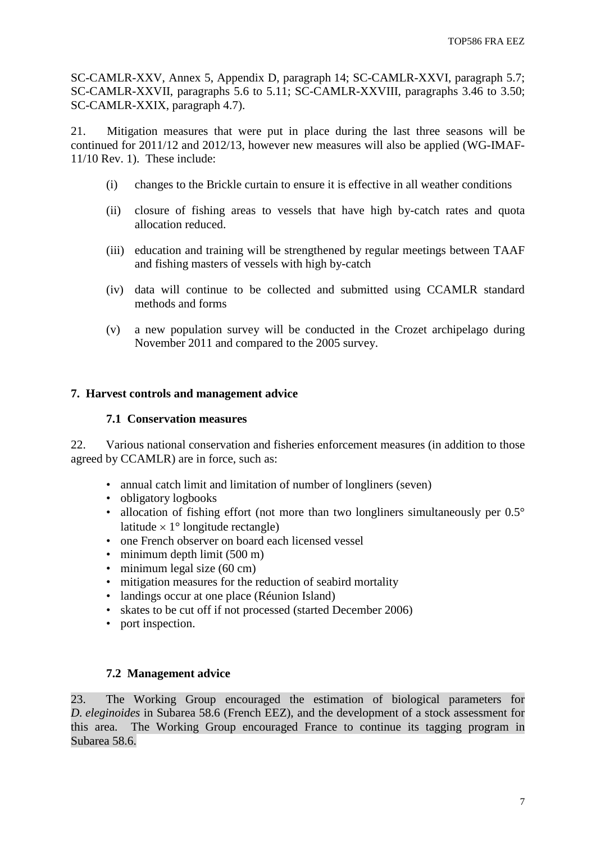<span id="page-8-0"></span>SC-CAMLR-XXV, Annex 5, Appendix D, paragraph 14; SC-CAMLR-XXVI, paragraph 5.7; SC-CAMLR-XXVII, paragraphs 5.6 to 5.11; SC-CAMLR-XXVIII, paragraphs 3.46 to 3.50; SC-CAMLR-XXIX, paragraph 4.7).

21. Mitigation measures that were put in place during the last three seasons will be continued for 2011/12 and 2012/13, however new measures will also be applied (WG-IMAF-11/10 Rev. 1). These include:

- (i) changes to the Brickle curtain to ensure it is effective in all weather conditions
- (ii) closure of fishing areas to vessels that have high by-catch rates and quota allocation reduced.
- (iii) education and training will be strengthened by regular meetings between TAAF and fishing masters of vessels with high by-catch
- (iv) data will continue to be collected and submitted using CCAMLR standard methods and forms
- (v) a new population survey will be conducted in the Crozet archipelago during November 2011 and compared to the 2005 survey.

## **7. Harvest controls and management advice**

## **7.1 Conservation measures**

22. Various national conservation and fisheries enforcement measures (in addition to those agreed by CCAMLR) are in force, such as:

- annual catch limit and limitation of number of longliners (seven)
- obligatory logbooks
- allocation of fishing effort (not more than two longliners simultaneously per  $0.5^{\circ}$ ) latitude  $\times$  1° longitude rectangle)
- one French observer on board each licensed vessel
- minimum depth limit (500 m)
- minimum legal size  $(60 \text{ cm})$
- mitigation measures for the reduction of seabird mortality
- landings occur at one place (Réunion Island)
- skates to be cut off if not processed (started December 2006)
- port inspection.

## **7.2 Management advice**

23. The Working Group encouraged the estimation of biological parameters for *D. eleginoides* in Subarea 58.6 (French EEZ), and the development of a stock assessment for this area. The Working Group encouraged France to continue its tagging program in Subarea 58.6.